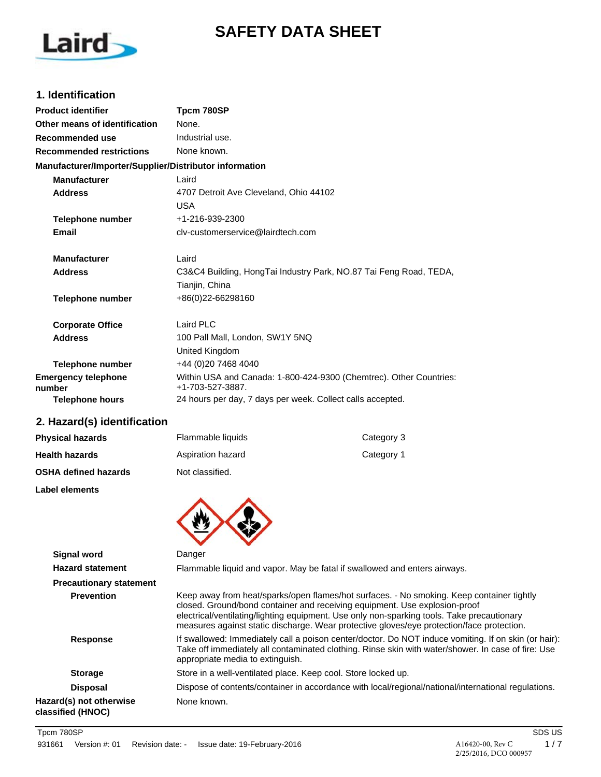# **SAFETY DATA SHEET**



## **1. Identification**

| <b>Product identifier</b>                              | Tpcm 780SP                                                                             |
|--------------------------------------------------------|----------------------------------------------------------------------------------------|
| Other means of identification                          | None.                                                                                  |
| Recommended use                                        | Industrial use.                                                                        |
| <b>Recommended restrictions</b>                        | None known.                                                                            |
| Manufacturer/Importer/Supplier/Distributor information |                                                                                        |
| <b>Manufacturer</b>                                    | Laird                                                                                  |
| <b>Address</b>                                         | 4707 Detroit Ave Cleveland, Ohio 44102                                                 |
|                                                        | <b>USA</b>                                                                             |
| Telephone number                                       | +1-216-939-2300                                                                        |
| Email                                                  | cly-customerservice@lairdtech.com                                                      |
| <b>Manufacturer</b>                                    | Laird                                                                                  |
| <b>Address</b>                                         | C3&C4 Building, HongTai Industry Park, NO.87 Tai Feng Road, TEDA,                      |
|                                                        | Tianjin, China                                                                         |
| <b>Telephone number</b>                                | +86(0)22-66298160                                                                      |
| <b>Corporate Office</b>                                | Laird PLC                                                                              |
| <b>Address</b>                                         | 100 Pall Mall, London, SW1Y 5NQ                                                        |
|                                                        | United Kingdom                                                                         |
| <b>Telephone number</b>                                | +44 (0)20 7468 4040                                                                    |
| <b>Emergency telephone</b><br>number                   | Within USA and Canada: 1-800-424-9300 (Chemtrec). Other Countries:<br>+1-703-527-3887. |
| <b>Telephone hours</b>                                 | 24 hours per day, 7 days per week. Collect calls accepted.                             |

# **2. Hazard(s) identification**

| <b>Physical hazards</b>     | Flammable liquids | Category 3 |
|-----------------------------|-------------------|------------|
| <b>Health hazards</b>       | Aspiration hazard | Category 1 |
| <b>OSHA defined hazards</b> | Not classified.   |            |

**Label elements**



| <b>Signal word</b>                           | Danger                                                                                                                                                                                                                                                                                                                                                             |
|----------------------------------------------|--------------------------------------------------------------------------------------------------------------------------------------------------------------------------------------------------------------------------------------------------------------------------------------------------------------------------------------------------------------------|
| <b>Hazard statement</b>                      | Flammable liquid and vapor. May be fatal if swallowed and enters airways.                                                                                                                                                                                                                                                                                          |
| <b>Precautionary statement</b>               |                                                                                                                                                                                                                                                                                                                                                                    |
| <b>Prevention</b>                            | Keep away from heat/sparks/open flames/hot surfaces. - No smoking. Keep container tightly<br>closed. Ground/bond container and receiving equipment. Use explosion-proof<br>electrical/ventilating/lighting equipment. Use only non-sparking tools. Take precautionary<br>measures against static discharge. Wear protective gloves/eye protection/face protection. |
| Response                                     | If swallowed: Immediately call a poison center/doctor. Do NOT induce vomiting. If on skin (or hair):<br>Take off immediately all contaminated clothing. Rinse skin with water/shower. In case of fire: Use<br>appropriate media to extinguish.                                                                                                                     |
| <b>Storage</b>                               | Store in a well-ventilated place. Keep cool. Store locked up.                                                                                                                                                                                                                                                                                                      |
| <b>Disposal</b>                              | Dispose of contents/container in accordance with local/regional/national/international regulations.                                                                                                                                                                                                                                                                |
| Hazard(s) not otherwise<br>classified (HNOC) | None known.                                                                                                                                                                                                                                                                                                                                                        |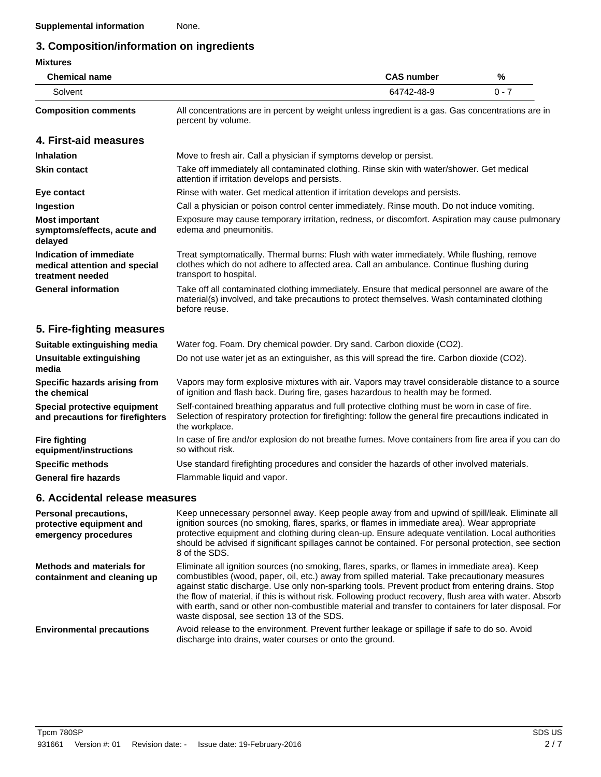# **3. Composition/information on ingredients**

## **Mixtures**

| <b>Chemical name</b>        | <b>CAS number</b>                                                                                                       | %     |
|-----------------------------|-------------------------------------------------------------------------------------------------------------------------|-------|
| Solvent                     | 64742-48-9                                                                                                              | በ - 7 |
| <b>Composition comments</b> | All concentrations are in percent by weight unless ingredient is a gas. Gas concentrations are in<br>percent by volume. |       |

### **4. First-aid measures**

| <b>Inhalation</b>                                                            | Move to fresh air. Call a physician if symptoms develop or persist.                                                                                                                                               |
|------------------------------------------------------------------------------|-------------------------------------------------------------------------------------------------------------------------------------------------------------------------------------------------------------------|
| <b>Skin contact</b>                                                          | Take off immediately all contaminated clothing. Rinse skin with water/shower. Get medical<br>attention if irritation develops and persists.                                                                       |
| Eye contact                                                                  | Rinse with water. Get medical attention if irritation develops and persists.                                                                                                                                      |
| Ingestion                                                                    | Call a physician or poison control center immediately. Rinse mouth. Do not induce vomiting.                                                                                                                       |
| <b>Most important</b><br>symptoms/effects, acute and<br>delayed              | Exposure may cause temporary irritation, redness, or discomfort. Aspiration may cause pulmonary<br>edema and pneumonitis.                                                                                         |
| Indication of immediate<br>medical attention and special<br>treatment needed | Treat symptomatically. Thermal burns: Flush with water immediately. While flushing, remove<br>clothes which do not adhere to affected area. Call an ambulance. Continue flushing during<br>transport to hospital. |
| <b>General information</b>                                                   | Take off all contaminated clothing immediately. Ensure that medical personnel are aware of the<br>material(s) involved, and take precautions to protect themselves. Wash contaminated clothing<br>before reuse.   |

# **5. Fire-fighting measures**

| Suitable extinguishing media                                     | Water fog. Foam. Dry chemical powder. Dry sand. Carbon dioxide (CO2).                                                                                                                                                     |
|------------------------------------------------------------------|---------------------------------------------------------------------------------------------------------------------------------------------------------------------------------------------------------------------------|
| Unsuitable extinguishing<br>media                                | Do not use water jet as an extinguisher, as this will spread the fire. Carbon dioxide (CO2).                                                                                                                              |
| Specific hazards arising from<br>the chemical                    | Vapors may form explosive mixtures with air. Vapors may travel considerable distance to a source<br>of ignition and flash back. During fire, gases hazardous to health may be formed.                                     |
| Special protective equipment<br>and precautions for firefighters | Self-contained breathing apparatus and full protective clothing must be worn in case of fire.<br>Selection of respiratory protection for firefighting: follow the general fire precautions indicated in<br>the workplace. |
| <b>Fire fighting</b><br>equipment/instructions                   | In case of fire and/or explosion do not breathe fumes. Move containers from fire area if you can do<br>so without risk.                                                                                                   |
| <b>Specific methods</b>                                          | Use standard firefighting procedures and consider the hazards of other involved materials.                                                                                                                                |
| <b>General fire hazards</b>                                      | Flammable liquid and vapor.                                                                                                                                                                                               |

# **6. Accidental release measures**

| Personal precautions,<br>protective equipment and<br>emergency procedures | Keep unnecessary personnel away. Keep people away from and upwind of spill/leak. Eliminate all<br>ignition sources (no smoking, flares, sparks, or flames in immediate area). Wear appropriate<br>protective equipment and clothing during clean-up. Ensure adequate ventilation. Local authorities<br>should be advised if significant spillages cannot be contained. For personal protection, see section<br>8 of the SDS.                                                                                                                                            |
|---------------------------------------------------------------------------|-------------------------------------------------------------------------------------------------------------------------------------------------------------------------------------------------------------------------------------------------------------------------------------------------------------------------------------------------------------------------------------------------------------------------------------------------------------------------------------------------------------------------------------------------------------------------|
| <b>Methods and materials for</b><br>containment and cleaning up           | Eliminate all ignition sources (no smoking, flares, sparks, or flames in immediate area). Keep<br>combustibles (wood, paper, oil, etc.) away from spilled material. Take precautionary measures<br>against static discharge. Use only non-sparking tools. Prevent product from entering drains. Stop<br>the flow of material, if this is without risk. Following product recovery, flush area with water. Absorb<br>with earth, sand or other non-combustible material and transfer to containers for later disposal. For<br>waste disposal, see section 13 of the SDS. |
| <b>Environmental precautions</b>                                          | Avoid release to the environment. Prevent further leakage or spillage if safe to do so. Avoid<br>discharge into drains, water courses or onto the ground.                                                                                                                                                                                                                                                                                                                                                                                                               |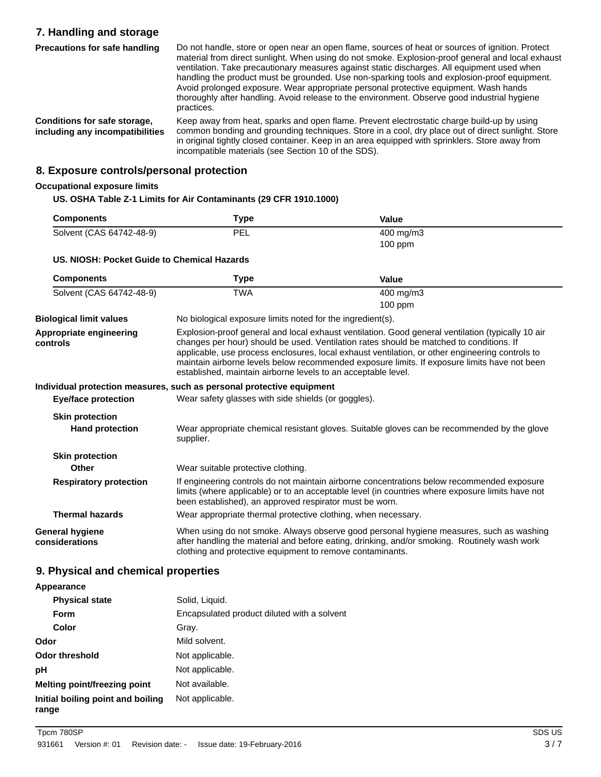# **7. Handling and storage**

Do not handle, store or open near an open flame, sources of heat or sources of ignition. Protect material from direct sunlight. When using do not smoke. Explosion-proof general and local exhaust ventilation. Take precautionary measures against static discharges. All equipment used when handling the product must be grounded. Use non-sparking tools and explosion-proof equipment. Avoid prolonged exposure. Wear appropriate personal protective equipment. Wash hands thoroughly after handling. Avoid release to the environment. Observe good industrial hygiene practices. **Precautions for safe handling** Keep away from heat, sparks and open flame. Prevent electrostatic charge build-up by using common bonding and grounding techniques. Store in a cool, dry place out of direct sunlight. Store in original tightly closed container. Keep in an area equipped with sprinklers. Store away from **Conditions for safe storage, including any incompatibilities**

incompatible materials (see Section 10 of the SDS).

**8. Exposure controls/personal protection**

#### **Occupational exposure limits**

#### **US. OSHA Table Z-1 Limits for Air Contaminants (29 CFR 1910.1000)**

| <b>Components</b>        | Type       | Value              |  |
|--------------------------|------------|--------------------|--|
| Solvent (CAS 64742-48-9) | <b>PEL</b> | $400 \text{ mg/m}$ |  |
|                          |            | $100$ ppm          |  |

#### **US. NIOSH: Pocket Guide to Chemical Hazards**

| <b>Components</b>                        | Type                                                                                                                                                                                                                                                                                                                                                                                                                                                             | Value                                                                                                                                                                                          |
|------------------------------------------|------------------------------------------------------------------------------------------------------------------------------------------------------------------------------------------------------------------------------------------------------------------------------------------------------------------------------------------------------------------------------------------------------------------------------------------------------------------|------------------------------------------------------------------------------------------------------------------------------------------------------------------------------------------------|
| Solvent (CAS 64742-48-9)                 | <b>TWA</b>                                                                                                                                                                                                                                                                                                                                                                                                                                                       | 400 mg/m3<br>$100$ ppm                                                                                                                                                                         |
|                                          |                                                                                                                                                                                                                                                                                                                                                                                                                                                                  |                                                                                                                                                                                                |
| <b>Biological limit values</b>           | No biological exposure limits noted for the ingredient(s).                                                                                                                                                                                                                                                                                                                                                                                                       |                                                                                                                                                                                                |
| Appropriate engineering<br>controls      | Explosion-proof general and local exhaust ventilation. Good general ventilation (typically 10 air<br>changes per hour) should be used. Ventilation rates should be matched to conditions. If<br>applicable, use process enclosures, local exhaust ventilation, or other engineering controls to<br>maintain airborne levels below recommended exposure limits. If exposure limits have not been<br>established, maintain airborne levels to an acceptable level. |                                                                                                                                                                                                |
|                                          | Individual protection measures, such as personal protective equipment                                                                                                                                                                                                                                                                                                                                                                                            |                                                                                                                                                                                                |
| <b>Eye/face protection</b>               | Wear safety glasses with side shields (or goggles).                                                                                                                                                                                                                                                                                                                                                                                                              |                                                                                                                                                                                                |
| <b>Skin protection</b>                   |                                                                                                                                                                                                                                                                                                                                                                                                                                                                  |                                                                                                                                                                                                |
| <b>Hand protection</b>                   | supplier.                                                                                                                                                                                                                                                                                                                                                                                                                                                        | Wear appropriate chemical resistant gloves. Suitable gloves can be recommended by the glove                                                                                                    |
| <b>Skin protection</b>                   |                                                                                                                                                                                                                                                                                                                                                                                                                                                                  |                                                                                                                                                                                                |
| Other                                    | Wear suitable protective clothing.                                                                                                                                                                                                                                                                                                                                                                                                                               |                                                                                                                                                                                                |
| <b>Respiratory protection</b>            | been established), an approved respirator must be worn.                                                                                                                                                                                                                                                                                                                                                                                                          | If engineering controls do not maintain airborne concentrations below recommended exposure<br>limits (where applicable) or to an acceptable level (in countries where exposure limits have not |
| <b>Thermal hazards</b>                   | Wear appropriate thermal protective clothing, when necessary.                                                                                                                                                                                                                                                                                                                                                                                                    |                                                                                                                                                                                                |
| <b>General hygiene</b><br>considerations | clothing and protective equipment to remove contaminants.                                                                                                                                                                                                                                                                                                                                                                                                        | When using do not smoke. Always observe good personal hygiene measures, such as washing<br>after handling the material and before eating, drinking, and/or smoking. Routinely wash work        |

### **9. Physical and chemical properties**

#### **Appearance Physical state** Solid, Liquid. **Form** Encapsulated product diluted with a solvent **Color** Gray. **Odor** Mild solvent. **Odor threshold** Not applicable. **pH** Not applicable. **Melting point/freezing point** Not available. **Initial boiling point and boiling range** Not applicable.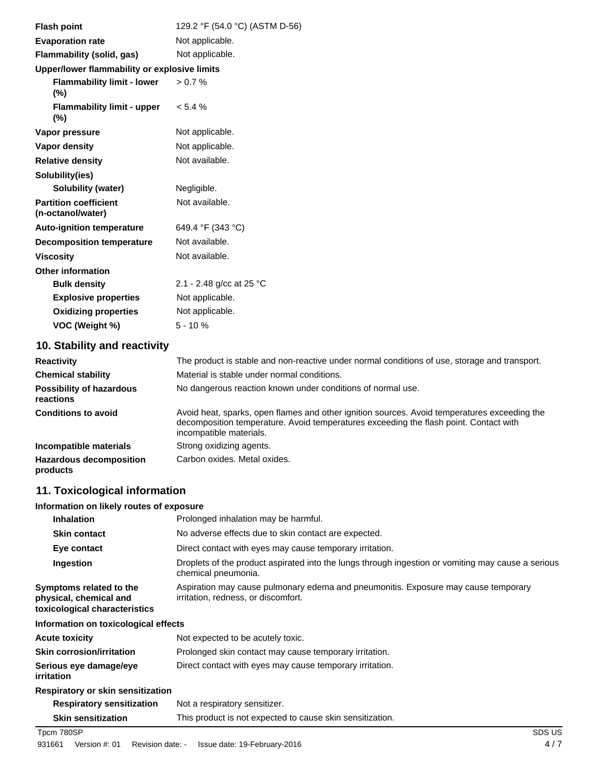| <b>Flash point</b>                                | 129.2 °F (54.0 °C) (ASTM D-56) |
|---------------------------------------------------|--------------------------------|
| <b>Evaporation rate</b>                           | Not applicable.                |
| <b>Flammability (solid, gas)</b>                  | Not applicable.                |
| Upper/lower flammability or explosive limits      |                                |
| <b>Flammability limit - lower</b><br>$(\%)$       | > 0.7 %                        |
| <b>Flammability limit - upper</b><br>$(\%)$       | $< 5.4 \%$                     |
| Vapor pressure                                    | Not applicable.                |
| Vapor density                                     | Not applicable.                |
| <b>Relative density</b>                           | Not available.                 |
| Solubility(ies)                                   |                                |
| <b>Solubility (water)</b>                         | Negligible.                    |
| <b>Partition coefficient</b><br>(n-octanol/water) | Not available.                 |
| <b>Auto-ignition temperature</b>                  | 649.4 °F (343 °C)              |
| <b>Decomposition temperature</b>                  | Not available.                 |
| <b>Viscosity</b>                                  | Not available.                 |
| <b>Other information</b>                          |                                |
| <b>Bulk density</b>                               | 2.1 - 2.48 g/cc at 25 °C       |
| <b>Explosive properties</b>                       | Not applicable.                |
| <b>Oxidizing properties</b>                       | Not applicable.                |
| VOC (Weight %)                                    | $5 - 10%$                      |
|                                                   |                                |

# **10. Stability and reactivity**

| <b>Reactivity</b>                            | The product is stable and non-reactive under normal conditions of use, storage and transport.                                                                                                                    |
|----------------------------------------------|------------------------------------------------------------------------------------------------------------------------------------------------------------------------------------------------------------------|
| <b>Chemical stability</b>                    | Material is stable under normal conditions.                                                                                                                                                                      |
| <b>Possibility of hazardous</b><br>reactions | No dangerous reaction known under conditions of normal use.                                                                                                                                                      |
| <b>Conditions to avoid</b>                   | Avoid heat, sparks, open flames and other ignition sources. Avoid temperatures exceeding the<br>decomposition temperature. Avoid temperatures exceeding the flash point. Contact with<br>incompatible materials. |
| Incompatible materials                       | Strong oxidizing agents.                                                                                                                                                                                         |
| <b>Hazardous decomposition</b><br>products   | Carbon oxides. Metal oxides.                                                                                                                                                                                     |

# **11. Toxicological information**

#### **Information on likely routes of exposure**

| <b>Inhalation</b>                                                                  | Prolonged inhalation may be harmful.                                                                                      |
|------------------------------------------------------------------------------------|---------------------------------------------------------------------------------------------------------------------------|
| <b>Skin contact</b>                                                                | No adverse effects due to skin contact are expected.                                                                      |
| Eye contact                                                                        | Direct contact with eyes may cause temporary irritation.                                                                  |
| Ingestion                                                                          | Droplets of the product aspirated into the lungs through ingestion or vomiting may cause a serious<br>chemical pneumonia. |
| Symptoms related to the<br>physical, chemical and<br>toxicological characteristics | Aspiration may cause pulmonary edema and pneumonitis. Exposure may cause temporary<br>irritation, redness, or discomfort. |
| Information on toxicological effects                                               |                                                                                                                           |
| Acute toxicity                                                                     | Not expected to be acutely toxic.                                                                                         |
| Skin corrosion/irritation                                                          | Prolonged skin contact may cause temporary irritation.                                                                    |
| Serious eye damage/eye<br>irritation                                               | Direct contact with eyes may cause temporary irritation.                                                                  |
| Respiratory or skin sensitization                                                  |                                                                                                                           |
| <b>Respiratory sensitization</b>                                                   | Not a respiratory sensitizer.                                                                                             |
| <b>Skin sensitization</b>                                                          | This product is not expected to cause skin sensitization.                                                                 |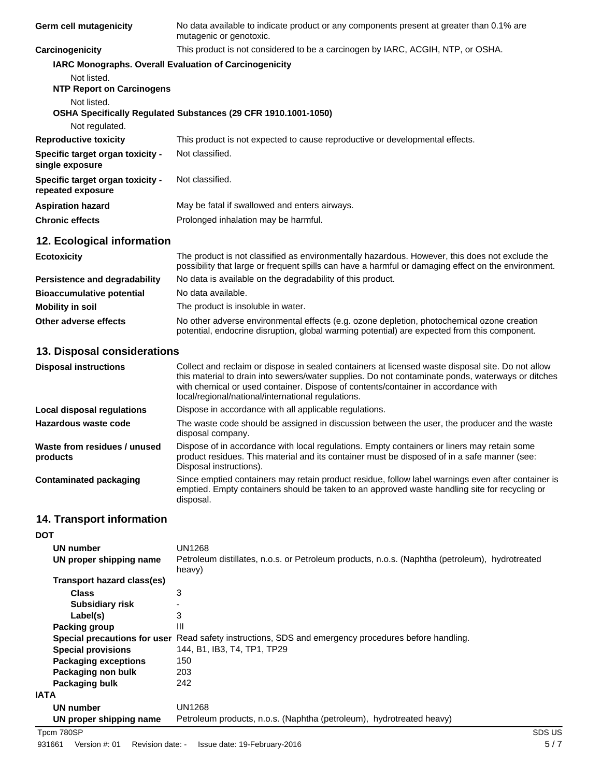| Germ cell mutagenicity                                | No data available to indicate product or any components present at greater than 0.1% are<br>mutagenic or genotoxic.                                                                                                              |
|-------------------------------------------------------|----------------------------------------------------------------------------------------------------------------------------------------------------------------------------------------------------------------------------------|
| Carcinogenicity                                       | This product is not considered to be a carcinogen by IARC, ACGIH, NTP, or OSHA.                                                                                                                                                  |
|                                                       | <b>IARC Monographs. Overall Evaluation of Carcinogenicity</b>                                                                                                                                                                    |
| Not listed.                                           |                                                                                                                                                                                                                                  |
| <b>NTP Report on Carcinogens</b>                      |                                                                                                                                                                                                                                  |
| Not listed.                                           |                                                                                                                                                                                                                                  |
|                                                       | OSHA Specifically Regulated Substances (29 CFR 1910.1001-1050)                                                                                                                                                                   |
| Not regulated.                                        |                                                                                                                                                                                                                                  |
| <b>Reproductive toxicity</b>                          | This product is not expected to cause reproductive or developmental effects.                                                                                                                                                     |
| Specific target organ toxicity -<br>single exposure   | Not classified.                                                                                                                                                                                                                  |
| Specific target organ toxicity -<br>repeated exposure | Not classified.                                                                                                                                                                                                                  |
| <b>Aspiration hazard</b>                              | May be fatal if swallowed and enters airways.                                                                                                                                                                                    |
| <b>Chronic effects</b>                                | Prolonged inhalation may be harmful.                                                                                                                                                                                             |
| 12. Ecological information                            |                                                                                                                                                                                                                                  |
| <b>Ecotoxicity</b>                                    | The product is not classified as environmentally hazardous. However, this does not exclude the<br>possibility that large or frequent spills can have a harmful or damaging effect on the environment.                            |
|                                                       | $\mathbf{A}$ , and the set of the set of the set of the set of the set of the set of the set of the set of the set of the set of the set of the set of the set of the set of the set of the set of the set of the set of the set |

| Persistence and degradability    | No data is available on the degradability of this product.                                                                                                                                 |  |
|----------------------------------|--------------------------------------------------------------------------------------------------------------------------------------------------------------------------------------------|--|
| <b>Bioaccumulative potential</b> | No data available.                                                                                                                                                                         |  |
| <b>Mobility in soil</b>          | The product is insoluble in water.                                                                                                                                                         |  |
| Other adverse effects            | No other adverse environmental effects (e.g. ozone depletion, photochemical ozone creation<br>potential, endocrine disruption, global warming potential) are expected from this component. |  |

# **13. Disposal considerations**

| <b>Disposal instructions</b>             | Collect and reclaim or dispose in sealed containers at licensed waste disposal site. Do not allow<br>this material to drain into sewers/water supplies. Do not contaminate ponds, waterways or ditches<br>with chemical or used container. Dispose of contents/container in accordance with<br>local/regional/national/international regulations. |
|------------------------------------------|---------------------------------------------------------------------------------------------------------------------------------------------------------------------------------------------------------------------------------------------------------------------------------------------------------------------------------------------------|
| Local disposal regulations               | Dispose in accordance with all applicable regulations.                                                                                                                                                                                                                                                                                            |
| Hazardous waste code                     | The waste code should be assigned in discussion between the user, the producer and the waste<br>disposal company.                                                                                                                                                                                                                                 |
| Waste from residues / unused<br>products | Dispose of in accordance with local regulations. Empty containers or liners may retain some<br>product residues. This material and its container must be disposed of in a safe manner (see:<br>Disposal instructions).                                                                                                                            |
| Contaminated packaging                   | Since emptied containers may retain product residue, follow label warnings even after container is<br>emptied. Empty containers should be taken to an approved waste handling site for recycling or<br>disposal.                                                                                                                                  |

# **14. Transport information**

| <b>DOT</b>                   |                                                                                                          |
|------------------------------|----------------------------------------------------------------------------------------------------------|
| UN number                    | UN1268                                                                                                   |
| UN proper shipping name      | Petroleum distillates, n.o.s. or Petroleum products, n.o.s. (Naphtha (petroleum), hydrotreated<br>heavy) |
| Transport hazard class(es)   |                                                                                                          |
| <b>Class</b>                 | 3                                                                                                        |
| <b>Subsidiary risk</b>       |                                                                                                          |
| Label(s)                     | 3                                                                                                        |
| Packing group                | Ш                                                                                                        |
| Special precautions for user | Read safety instructions, SDS and emergency procedures before handling.                                  |
| <b>Special provisions</b>    | 144, B1, IB3, T4, TP1, TP29                                                                              |
| <b>Packaging exceptions</b>  | 150                                                                                                      |
| Packaging non bulk           | 203                                                                                                      |
| Packaging bulk               | 242                                                                                                      |
| <b>IATA</b>                  |                                                                                                          |
| UN number                    | UN1268                                                                                                   |
| UN proper shipping name      | Petroleum products, n.o.s. (Naphtha (petroleum), hydrotreated heavy)                                     |

Tpcm 780SP SDS US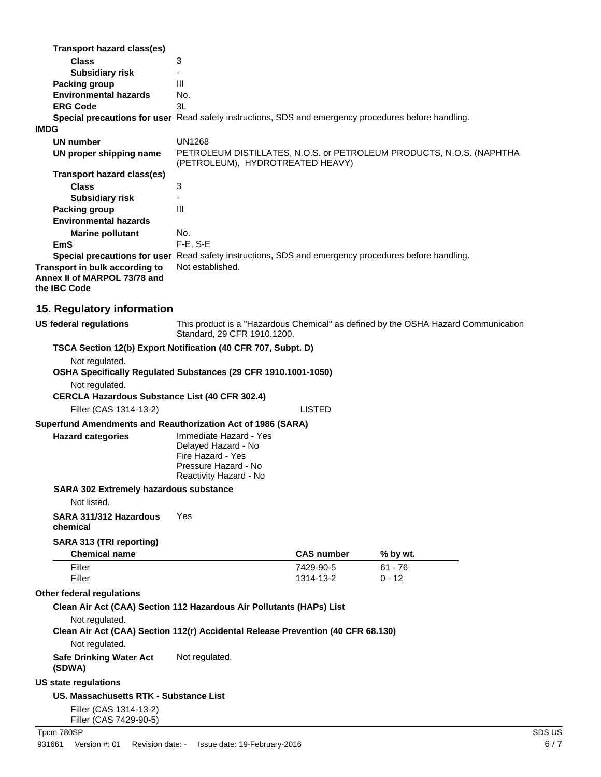| IMDG | <b>Transport hazard class(es)</b><br><b>Class</b><br><b>Subsidiary risk</b><br>Packing group<br><b>Environmental hazards</b><br><b>ERG Code</b> | 3<br>$\blacksquare$<br>Ш<br>No.<br>3L<br>Special precautions for user Read safety instructions, SDS and emergency procedures before handling.                                       |                        |                                                                                    |        |
|------|-------------------------------------------------------------------------------------------------------------------------------------------------|-------------------------------------------------------------------------------------------------------------------------------------------------------------------------------------|------------------------|------------------------------------------------------------------------------------|--------|
|      |                                                                                                                                                 | <b>UN1268</b>                                                                                                                                                                       |                        |                                                                                    |        |
|      | UN number<br>UN proper shipping name                                                                                                            | (PETROLEUM), HYDROTREATED HEAVY)                                                                                                                                                    |                        | PETROLEUM DISTILLATES, N.O.S. or PETROLEUM PRODUCTS, N.O.S. (NAPHTHA               |        |
|      | <b>Transport hazard class(es)</b><br><b>Class</b><br><b>Subsidiary risk</b>                                                                     | 3                                                                                                                                                                                   |                        |                                                                                    |        |
|      | <b>Packing group</b>                                                                                                                            | III                                                                                                                                                                                 |                        |                                                                                    |        |
|      | <b>Environmental hazards</b>                                                                                                                    |                                                                                                                                                                                     |                        |                                                                                    |        |
|      | <b>Marine pollutant</b>                                                                                                                         | No.                                                                                                                                                                                 |                        |                                                                                    |        |
|      | <b>EmS</b>                                                                                                                                      | F-E, S-E                                                                                                                                                                            |                        |                                                                                    |        |
|      |                                                                                                                                                 | Special precautions for user Read safety instructions, SDS and emergency procedures before handling.                                                                                |                        |                                                                                    |        |
|      | Transport in bulk according to<br>Annex II of MARPOL 73/78 and<br>the IBC Code                                                                  | Not established.                                                                                                                                                                    |                        |                                                                                    |        |
|      | 15. Regulatory information                                                                                                                      |                                                                                                                                                                                     |                        |                                                                                    |        |
|      | <b>US federal regulations</b>                                                                                                                   | Standard, 29 CFR 1910.1200.                                                                                                                                                         |                        | This product is a "Hazardous Chemical" as defined by the OSHA Hazard Communication |        |
|      |                                                                                                                                                 | TSCA Section 12(b) Export Notification (40 CFR 707, Subpt. D)                                                                                                                       |                        |                                                                                    |        |
|      | Not regulated.<br>OSHA Specifically Regulated Substances (29 CFR 1910.1001-1050)                                                                |                                                                                                                                                                                     |                        |                                                                                    |        |
|      | Not regulated.<br><b>CERCLA Hazardous Substance List (40 CFR 302.4)</b>                                                                         |                                                                                                                                                                                     |                        |                                                                                    |        |
|      | Filler (CAS 1314-13-2)                                                                                                                          |                                                                                                                                                                                     | <b>LISTED</b>          |                                                                                    |        |
|      | <b>Hazard categories</b>                                                                                                                        | Superfund Amendments and Reauthorization Act of 1986 (SARA)<br>Immediate Hazard - Yes<br>Delayed Hazard - No<br>Fire Hazard - Yes<br>Pressure Hazard - No<br>Reactivity Hazard - No |                        |                                                                                    |        |
|      | SARA 302 Extremely hazardous substance<br>Not listed.                                                                                           |                                                                                                                                                                                     |                        |                                                                                    |        |
|      | SARA 311/312 Hazardous<br>chemical                                                                                                              | Yes                                                                                                                                                                                 |                        |                                                                                    |        |
|      | SARA 313 (TRI reporting)<br><b>Chemical name</b>                                                                                                |                                                                                                                                                                                     | <b>CAS number</b>      | % by wt.                                                                           |        |
|      | Filler<br>Filler                                                                                                                                |                                                                                                                                                                                     | 7429-90-5<br>1314-13-2 | $61 - 76$<br>$0 - 12$                                                              |        |
|      | Other federal regulations                                                                                                                       |                                                                                                                                                                                     |                        |                                                                                    |        |
|      | Not regulated.                                                                                                                                  | Clean Air Act (CAA) Section 112 Hazardous Air Pollutants (HAPs) List                                                                                                                |                        |                                                                                    |        |
|      | Not regulated.                                                                                                                                  | Clean Air Act (CAA) Section 112(r) Accidental Release Prevention (40 CFR 68.130)                                                                                                    |                        |                                                                                    |        |
|      | <b>Safe Drinking Water Act</b><br>(SDWA)                                                                                                        | Not regulated.                                                                                                                                                                      |                        |                                                                                    |        |
|      | US state regulations                                                                                                                            |                                                                                                                                                                                     |                        |                                                                                    |        |
|      | US. Massachusetts RTK - Substance List                                                                                                          |                                                                                                                                                                                     |                        |                                                                                    |        |
|      | Filler (CAS 1314-13-2)<br>Filler (CAS 7429-90-5)                                                                                                |                                                                                                                                                                                     |                        |                                                                                    |        |
|      | Tpcm 780SP                                                                                                                                      |                                                                                                                                                                                     |                        |                                                                                    | SDS US |